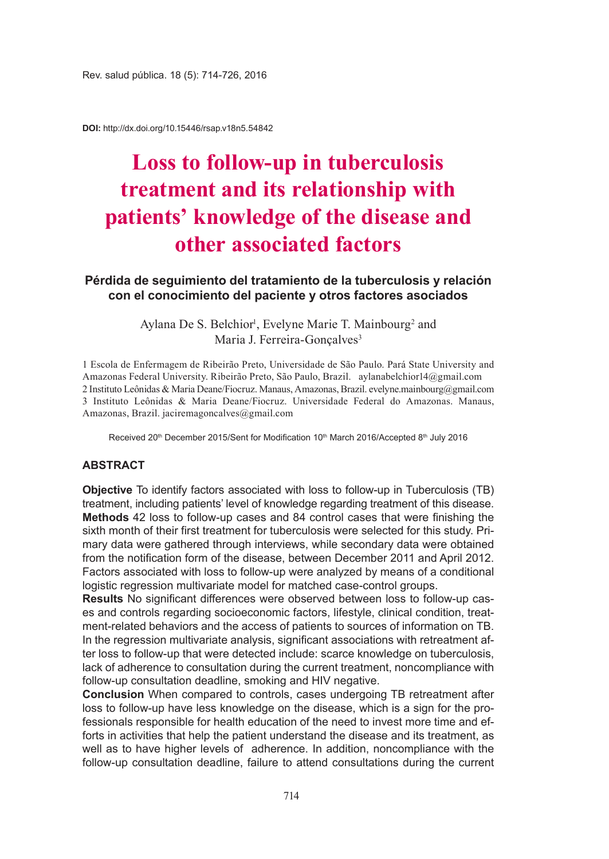Rev. salud pública. 18 (5): 714-726, 2016

**DOI:** http://dx.doi.org/10.15446/rsap.v18n5.54842

# **Loss to follow-up in tuberculosis treatment and its relationship with patients' knowledge of the disease and other associated factors**

## **Pérdida de seguimiento del tratamiento de la tuberculosis y relación con el conocimiento del paciente y otros factores asociados**

Aylana De S. Belchior<sup>1</sup>, Evelyne Marie T. Mainbourg<sup>2</sup> and Maria J. Ferreira-Gonçalves<sup>3</sup>

1 Escola de Enfermagem de Ribeirão Preto, Universidade de São Paulo. Pará State University and Amazonas Federal University. Ribeirão Preto, São Paulo, Brazil. aylanabelchior14@gmail.com 2 Instituto Leônidas & Maria Deane/Fiocruz. Manaus, Amazonas, Brazil. evelyne.mainbourg@gmail.com 3 Instituto Leônidas & Maria Deane/Fiocruz. Universidade Federal do Amazonas. Manaus, Amazonas, Brazil. jaciremagoncalves@gmail.com

Received 20<sup>th</sup> December 2015/Sent for Modification 10<sup>th</sup> March 2016/Accepted 8<sup>th</sup> July 2016

#### **ABSTRACT**

**Objective** To identify factors associated with loss to follow-up in Tuberculosis (TB) treatment, including patients' level of knowledge regarding treatment of this disease. **Methods** 42 loss to follow-up cases and 84 control cases that were finishing the sixth month of their first treatment for tuberculosis were selected for this study. Primary data were gathered through interviews, while secondary data were obtained from the notification form of the disease, between December 2011 and April 2012. Factors associated with loss to follow-up were analyzed by means of a conditional logistic regression multivariate model for matched case-control groups.

**Results** No significant differences were observed between loss to follow-up cases and controls regarding socioeconomic factors, lifestyle, clinical condition, treatment-related behaviors and the access of patients to sources of information on TB. In the regression multivariate analysis, significant associations with retreatment after loss to follow-up that were detected include: scarce knowledge on tuberculosis, lack of adherence to consultation during the current treatment, noncompliance with follow-up consultation deadline, smoking and HIV negative.

**Conclusion** When compared to controls, cases undergoing TB retreatment after loss to follow-up have less knowledge on the disease, which is a sign for the professionals responsible for health education of the need to invest more time and efforts in activities that help the patient understand the disease and its treatment, as well as to have higher levels of adherence. In addition, noncompliance with the follow-up consultation deadline, failure to attend consultations during the current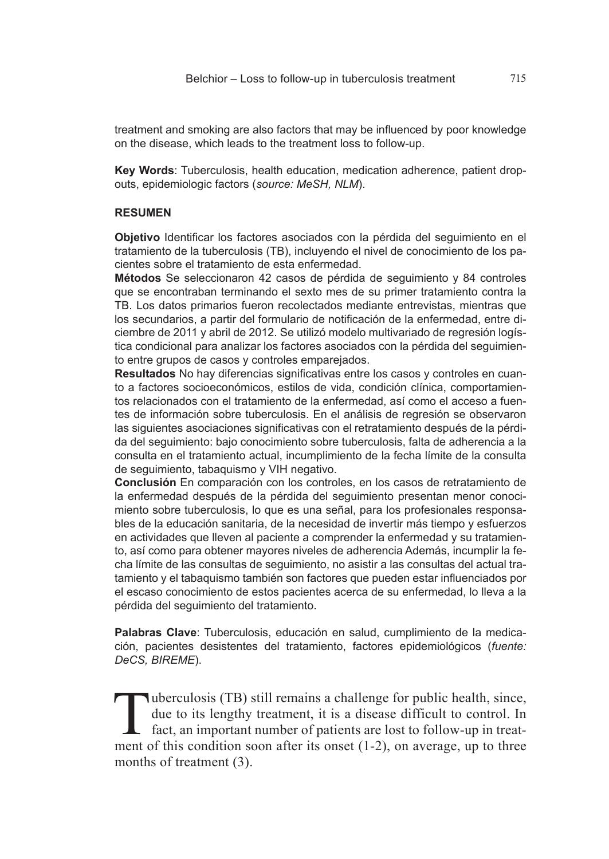treatment and smoking are also factors that may be influenced by poor knowledge on the disease, which leads to the treatment loss to follow-up.

**Key Words**: Tuberculosis, health education, medication adherence, patient dropouts, epidemiologic factors (*source: MeSH, NLM*).

#### **RESUMEN**

**Objetivo** Identificar los factores asociados con la pérdida del seguimiento en el tratamiento de la tuberculosis (TB), incluyendo el nivel de conocimiento de los pacientes sobre el tratamiento de esta enfermedad.

**Métodos** Se seleccionaron 42 casos de pérdida de seguimiento y 84 controles que se encontraban terminando el sexto mes de su primer tratamiento contra la TB. Los datos primarios fueron recolectados mediante entrevistas, mientras que los secundarios, a partir del formulario de notificación de la enfermedad, entre diciembre de 2011 y abril de 2012. Se utilizó modelo multivariado de regresión logística condicional para analizar los factores asociados con la pérdida del seguimiento entre grupos de casos y controles emparejados.

**Resultados** No hay diferencias significativas entre los casos y controles en cuanto a factores socioeconómicos, estilos de vida, condición clínica, comportamientos relacionados con el tratamiento de la enfermedad, así como el acceso a fuentes de información sobre tuberculosis. En el análisis de regresión se observaron las siguientes asociaciones significativas con el retratamiento después de la pérdida del seguimiento: bajo conocimiento sobre tuberculosis, falta de adherencia a la consulta en el tratamiento actual, incumplimiento de la fecha límite de la consulta de seguimiento, tabaquismo y VIH negativo.

**Conclusión** En comparación con los controles, en los casos de retratamiento de la enfermedad después de la pérdida del seguimiento presentan menor conocimiento sobre tuberculosis, lo que es una señal, para los profesionales responsables de la educación sanitaria, de la necesidad de invertir más tiempo y esfuerzos en actividades que lleven al paciente a comprender la enfermedad y su tratamiento, así como para obtener mayores niveles de adherencia Además, incumplir la fecha límite de las consultas de seguimiento, no asistir a las consultas del actual tratamiento y el tabaquismo también son factores que pueden estar influenciados por el escaso conocimiento de estos pacientes acerca de su enfermedad, lo lleva a la pérdida del seguimiento del tratamiento.

**Palabras Clave**: Tuberculosis, educación en salud, cumplimiento de la medicación, pacientes desistentes del tratamiento, factores epidemiológicos (*fuente: DeCS, BIREME*).

Tuberculosis (TB) still remains a challenge for public health, since,<br>due to its lengthy treatment, it is a disease difficult to control. In<br>fact, an important number of patients are lost to follow-up in treat-<br>ment of thi due to its lengthy treatment, it is a disease difficult to control. In fact, an important number of patients are lost to follow-up in treatment of this condition soon after its onset (1-2), on average, up to three months of treatment (3).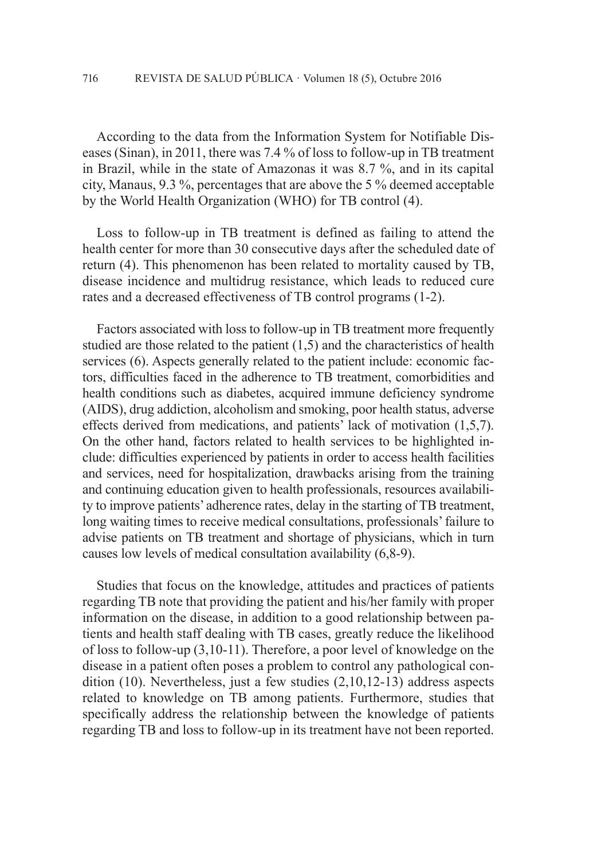According to the data from the Information System for Notifiable Diseases (Sinan), in 2011, there was 7.4 % of loss to follow-up in TB treatment in Brazil, while in the state of Amazonas it was 8.7 %, and in its capital city, Manaus, 9.3 %, percentages that are above the 5 % deemed acceptable by the World Health Organization (WHO) for TB control (4).

Loss to follow-up in TB treatment is defined as failing to attend the health center for more than 30 consecutive days after the scheduled date of return (4). This phenomenon has been related to mortality caused by TB, disease incidence and multidrug resistance, which leads to reduced cure rates and a decreased effectiveness of TB control programs (1-2).

Factors associated with loss to follow-up in TB treatment more frequently studied are those related to the patient (1,5) and the characteristics of health services (6). Aspects generally related to the patient include: economic factors, difficulties faced in the adherence to TB treatment, comorbidities and health conditions such as diabetes, acquired immune deficiency syndrome (AIDS), drug addiction, alcoholism and smoking, poor health status, adverse effects derived from medications, and patients' lack of motivation (1,5,7). On the other hand, factors related to health services to be highlighted include: difficulties experienced by patients in order to access health facilities and services, need for hospitalization, drawbacks arising from the training and continuing education given to health professionals, resources availability to improve patients' adherence rates, delay in the starting of TB treatment, long waiting times to receive medical consultations, professionals' failure to advise patients on TB treatment and shortage of physicians, which in turn causes low levels of medical consultation availability (6,8-9).

Studies that focus on the knowledge, attitudes and practices of patients regarding TB note that providing the patient and his/her family with proper information on the disease, in addition to a good relationship between patients and health staff dealing with TB cases, greatly reduce the likelihood of loss to follow-up (3,10-11). Therefore, a poor level of knowledge on the disease in a patient often poses a problem to control any pathological condition (10). Nevertheless, just a few studies (2,10,12-13) address aspects related to knowledge on TB among patients. Furthermore, studies that specifically address the relationship between the knowledge of patients regarding TB and loss to follow-up in its treatment have not been reported.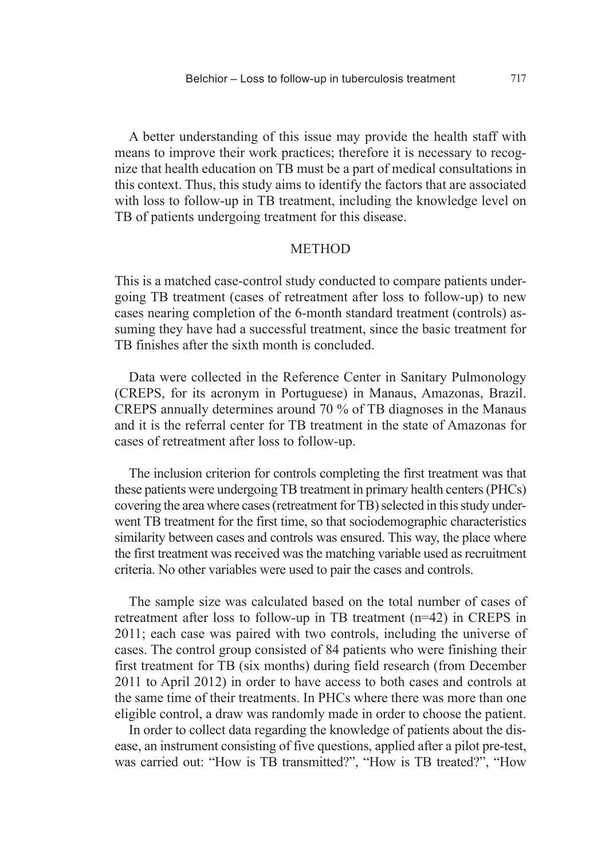A better understanding of this issue may provide the health staff with means to improve their work practices; therefore it is necessary to recognize that health education on TB must be a part of medical consultations in this context. Thus, this study aims to identify the factors that are associated with loss to follow-up in TB treatment, including the knowledge level on TB of patients undergoing treatment for this disease.

#### **METHOD**

This is a matched case-control study conducted to compare patients undergoing TB treatment (cases of retreatment after loss to follow-up) to new cases nearing completion of the 6-month standard treatment (controls) assuming they have had a successful treatment, since the basic treatment for TB finishes after the sixth month is concluded.

Data were collected in the Reference Center in Sanitary Pulmonology (CREPS, for its acronym in Portuguese) in Manaus, Amazonas, Brazil. CREPS annually determines around 70 % of TB diagnoses in the Manaus and it is the referral center for TB treatment in the state of Amazonas for cases of retreatment after loss to follow-up.

The inclusion criterion for controls completing the first treatment was that these patients were undergoing TB treatment in primary health centers (PHCs) covering the area where cases (retreatment for TB) selected in this study underwent TB treatment for the first time, so that sociodemographic characteristics similarity between cases and controls was ensured. This way, the place where the first treatment was received was the matching variable used as recruitment criteria. No other variables were used to pair the cases and controls.

The sample size was calculated based on the total number of cases of retreatment after loss to follow-up in TB treatment (n=42) in CREPS in 2011; each case was paired with two controls, including the universe of cases. The control group consisted of 84 patients who were finishing their first treatment for TB (six months) during field research (from December 2011 to April 2012) in order to have access to both cases and controls at the same time of their treatments. In PHCs where there was more than one eligible control, a draw was randomly made in order to choose the patient.

In order to collect data regarding the knowledge of patients about the disease, an instrument consisting of five questions, applied after a pilot pre-test, was carried out: "How is TB transmitted?", "How is TB treated?", "How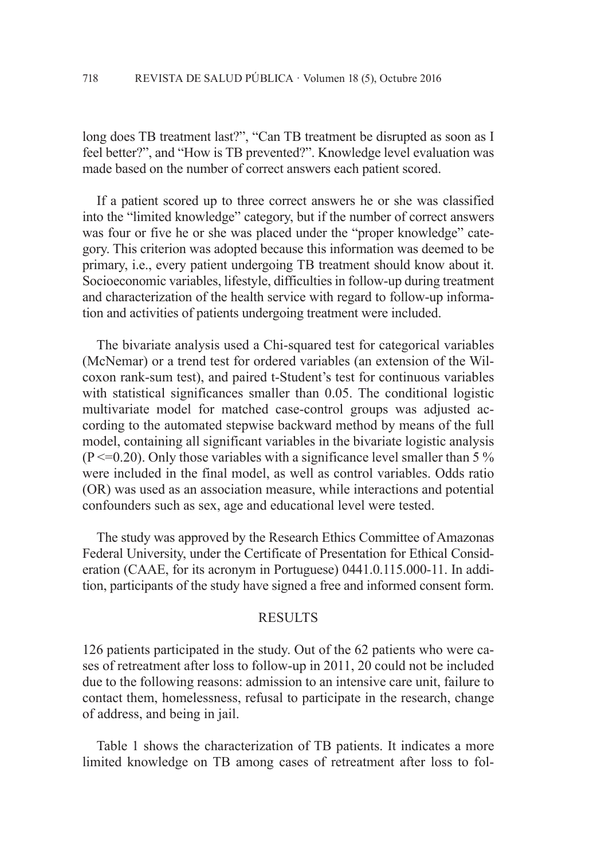long does TB treatment last?", "Can TB treatment be disrupted as soon as I feel better?", and "How is TB prevented?". Knowledge level evaluation was made based on the number of correct answers each patient scored.

If a patient scored up to three correct answers he or she was classified into the "limited knowledge" category, but if the number of correct answers was four or five he or she was placed under the "proper knowledge" category. This criterion was adopted because this information was deemed to be primary, i.e., every patient undergoing TB treatment should know about it. Socioeconomic variables, lifestyle, difficulties in follow-up during treatment and characterization of the health service with regard to follow-up information and activities of patients undergoing treatment were included.

The bivariate analysis used a Chi-squared test for categorical variables (McNemar) or a trend test for ordered variables (an extension of the Wilcoxon rank-sum test), and paired t-Student's test for continuous variables with statistical significances smaller than 0.05. The conditional logistic multivariate model for matched case-control groups was adjusted according to the automated stepwise backward method by means of the full model, containing all significant variables in the bivariate logistic analysis  $(P \le 0.20)$ . Only those variables with a significance level smaller than 5 % were included in the final model, as well as control variables. Odds ratio (OR) was used as an association measure, while interactions and potential confounders such as sex, age and educational level were tested.

The study was approved by the Research Ethics Committee of Amazonas Federal University, under the Certificate of Presentation for Ethical Consideration (CAAE, for its acronym in Portuguese) 0441.0.115.000-11. In addition, participants of the study have signed a free and informed consent form.

## RESULTS

126 patients participated in the study. Out of the 62 patients who were cases of retreatment after loss to follow-up in 2011, 20 could not be included due to the following reasons: admission to an intensive care unit, failure to contact them, homelessness, refusal to participate in the research, change of address, and being in jail.

Table 1 shows the characterization of TB patients. It indicates a more limited knowledge on TB among cases of retreatment after loss to fol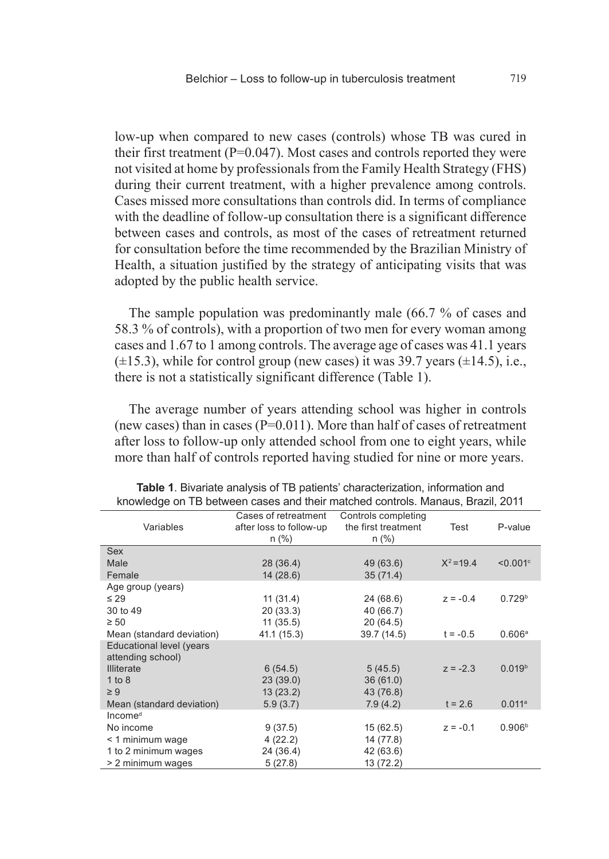low-up when compared to new cases (controls) whose TB was cured in their first treatment ( $P=0.047$ ). Most cases and controls reported they were not visited at home by professionals from the Family Health Strategy (FHS) during their current treatment, with a higher prevalence among controls. Cases missed more consultations than controls did. In terms of compliance with the deadline of follow-up consultation there is a significant difference between cases and controls, as most of the cases of retreatment returned for consultation before the time recommended by the Brazilian Ministry of Health, a situation justified by the strategy of anticipating visits that was adopted by the public health service.

The sample population was predominantly male (66.7 % of cases and 58.3 % of controls), with a proportion of two men for every woman among cases and 1.67 to 1 among controls. The average age of cases was 41.1 years  $(\pm 15.3)$ , while for control group (new cases) it was 39.7 years ( $\pm 14.5$ ), i.e., there is not a statistically significant difference (Table 1).

The average number of years attending school was higher in controls (new cases) than in cases ( $P=0.011$ ). More than half of cases of retreatment after loss to follow-up only attended school from one to eight years, while more than half of controls reported having studied for nine or more years.

|                           | Cases of retreatment    | Controls completing |              |                    |
|---------------------------|-------------------------|---------------------|--------------|--------------------|
| Variables                 | after loss to follow-up | the first treatment | Test         | P-value            |
|                           | n (%)                   | $n$ (%)             |              |                    |
| <b>Sex</b>                |                         |                     |              |                    |
| Male                      | 28 (36.4)               | 49 (63.6)           | $X^2 = 19.4$ | $< 0.001$ °        |
| Female                    | 14(28.6)                | 35(71.4)            |              |                    |
| Age group (years)         |                         |                     |              |                    |
| $\leq 29$                 | 11(31.4)                | 24 (68.6)           | $z = -0.4$   | 0.729 <sup>b</sup> |
| 30 to 49                  | 20(33.3)                | 40 (66.7)           |              |                    |
| $\geq 50$                 | 11(35.5)                | 20(64.5)            |              |                    |
| Mean (standard deviation) | 41.1 (15.3)             | 39.7 (14.5)         | $t = -0.5$   | 0.606a             |
| Educational level (years  |                         |                     |              |                    |
| attending school)         |                         |                     |              |                    |
| <b>Illiterate</b>         | 6(54.5)                 | 5(45.5)             | $z = -2.3$   | 0.019 <sup>b</sup> |
| 1 to 8                    | 23(39.0)                | 36(61.0)            |              |                    |
| $\geq 9$                  | 13(23.2)                | 43 (76.8)           |              |                    |
| Mean (standard deviation) | 5.9(3.7)                | 7.9(4.2)            | $t = 2.6$    | 0.011a             |
| Income <sup>d</sup>       |                         |                     |              |                    |
| No income                 | 9(37.5)                 | 15 (62.5)           | $z = -0.1$   | 0.906 <sup>b</sup> |
| < 1 minimum wage          | 4(22.2)                 | 14 (77.8)           |              |                    |
| 1 to 2 minimum wages      | 24 (36.4)               | 42 (63.6)           |              |                    |
| > 2 minimum wages         | 5(27.8)                 | 13 (72.2)           |              |                    |

**Table 1**. Bivariate analysis of TB patients' characterization, information and knowledge on TB between cases and their matched controls. Manaus, Brazil, 2011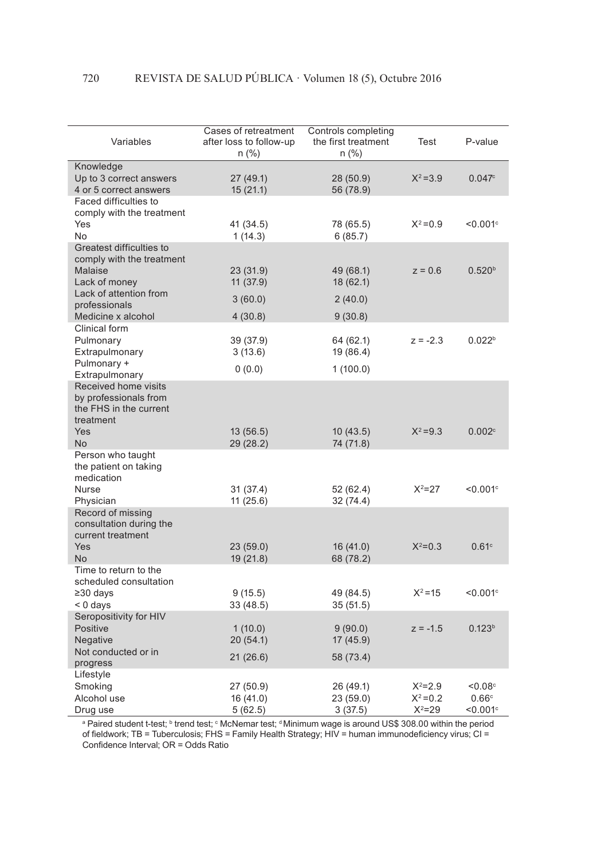|                                 | Cases of retreatment    | Controls completing |             |                    |
|---------------------------------|-------------------------|---------------------|-------------|--------------------|
| Variables                       | after loss to follow-up | the first treatment | Test        | P-value            |
|                                 | $n$ (%)                 | $n$ (%)             |             |                    |
| Knowledge                       |                         |                     |             |                    |
| Up to 3 correct answers         | 27 (49.1)               | 28 (50.9)           | $X^2 = 3.9$ | 0.047c             |
| 4 or 5 correct answers          | 15(21.1)                | 56 (78.9)           |             |                    |
| Faced difficulties to           |                         |                     |             |                    |
| comply with the treatment       |                         |                     |             |                    |
| Yes                             | 41 (34.5)               | 78 (65.5)           | $X^2 = 0.9$ | $< 0.001$ °        |
| N <sub>o</sub>                  | 1 (14.3)                | 6(85.7)             |             |                    |
| Greatest difficulties to        |                         |                     |             |                    |
| comply with the treatment       |                         |                     |             |                    |
| Malaise                         | 23 (31.9)               | 49 (68.1)           | $z = 0.6$   | 0.520 <sup>b</sup> |
| Lack of money                   | 11 (37.9)               | 18(62.1)            |             |                    |
| Lack of attention from          | 3(60.0)                 | 2(40.0)             |             |                    |
| professionals                   |                         |                     |             |                    |
| Medicine x alcohol              | 4(30.8)                 | 9(30.8)             |             |                    |
| Clinical form                   |                         |                     |             |                    |
| Pulmonary                       | 39 (37.9)               | 64 (62.1)           | $z = -2.3$  | 0.022 <sup>b</sup> |
| Extrapulmonary<br>Pulmonary +   | 3(13.6)                 | 19 (86.4)           |             |                    |
| Extrapulmonary                  | 0(0.0)                  | 1(100.0)            |             |                    |
| Received home visits            |                         |                     |             |                    |
| by professionals from           |                         |                     |             |                    |
| the FHS in the current          |                         |                     |             |                    |
| treatment                       |                         |                     |             |                    |
| Yes                             | 13(56.5)                | 10(43.5)            | $X^2 = 9.3$ | 0.002c             |
| <b>No</b>                       | 29 (28.2)               | 74 (71.8)           |             |                    |
| Person who taught               |                         |                     |             |                    |
| the patient on taking           |                         |                     |             |                    |
| medication                      |                         |                     |             |                    |
| <b>Nurse</b>                    | 31 (37.4)               | 52 (62.4)           | $X^2 = 27$  | $< 0.001$ °        |
| Physician                       | 11(25.6)                | 32 (74.4)           |             |                    |
| Record of missing               |                         |                     |             |                    |
| consultation during the         |                         |                     |             |                    |
| current treatment               |                         |                     |             |                    |
| Yes                             | 23 (59.0)               | 16(41.0)            | $X^2 = 0.3$ | 0.61c              |
| <b>No</b>                       | 19 (21.8)               | 68 (78.2)           |             |                    |
| Time to return to the           |                         |                     |             |                    |
| scheduled consultation          |                         |                     |             |                    |
| ≥30 days                        | 9(15.5)                 | 49 (84.5)           | $X^2 = 15$  | $< 0.001$ °        |
| $< 0$ days                      | 33 (48.5)               | 35(51.5)            |             |                    |
| Seropositivity for HIV          |                         |                     |             |                    |
| Positive                        | 1(10.0)                 | 9(90.0)             | $z = -1.5$  | 0.123 <sup>b</sup> |
| Negative<br>Not conducted or in | 20(54.1)                | 17 (45.9)           |             |                    |
| progress                        | 21(26.6)                | 58 (73.4)           |             |                    |
| Lifestyle                       |                         |                     |             |                    |
| Smoking                         | 27 (50.9)               | 26 (49.1)           | $X^2 = 2.9$ | $< 0.08$ c         |
| Alcohol use                     | 16 (41.0)               | 23 (59.0)           | $X^2 = 0.2$ | 0.66c              |
| Drug use                        | 5(62.5)                 | 3(37.5)             | $X^2 = 29$  | < 0.001c           |

<sup>a</sup> Paired student t-test; <sup>b</sup> trend test; <sup>c</sup> McNemar test; <sup>d</sup> Minimum wage is around US\$ 308.00 within the period of fieldwork; TB = Tuberculosis; FHS = Family Health Strategy; HIV = human immunodeficiency virus; CI = Confidence Interval; OR = Odds Ratio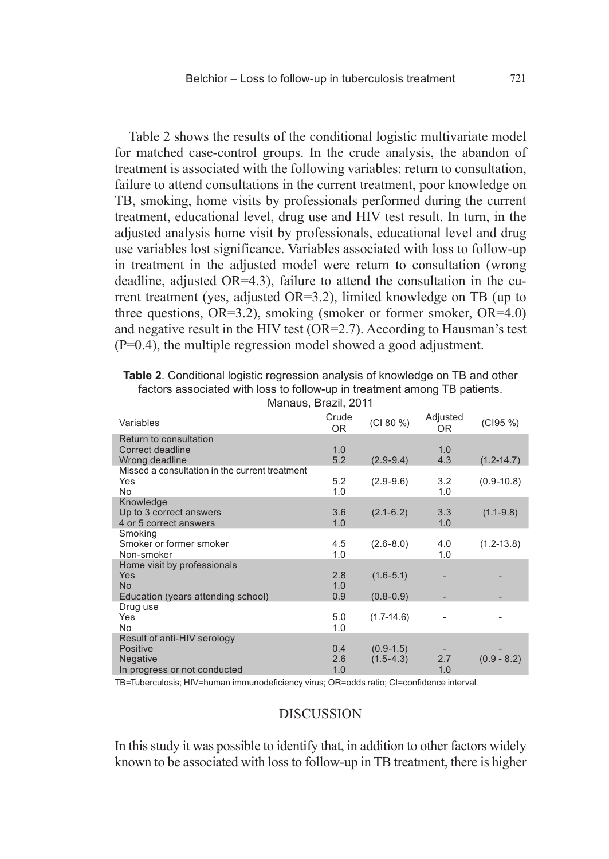Table 2 shows the results of the conditional logistic multivariate model for matched case-control groups. In the crude analysis, the abandon of treatment is associated with the following variables: return to consultation, failure to attend consultations in the current treatment, poor knowledge on TB, smoking, home visits by professionals performed during the current treatment, educational level, drug use and HIV test result. In turn, in the adjusted analysis home visit by professionals, educational level and drug use variables lost significance. Variables associated with loss to follow-up in treatment in the adjusted model were return to consultation (wrong deadline, adjusted OR=4.3), failure to attend the consultation in the current treatment (yes, adjusted OR=3.2), limited knowledge on TB (up to three questions,  $OR=3.2$ ), smoking (smoker or former smoker,  $OR=4.0$ ) and negative result in the HIV test (OR=2.7). According to Hausman's test (P=0.4), the multiple regression model showed a good adjustment.

| Table 2. Conditional logistic regression analysis of knowledge on TB and other |
|--------------------------------------------------------------------------------|
| factors associated with loss to follow-up in treatment among TB patients.      |
| Manaus. Brazil. 2011                                                           |

| Variables                                      | Crude<br>OR. | (CI 80 %)     | Adjusted<br>OR. | (CI95 %)       |
|------------------------------------------------|--------------|---------------|-----------------|----------------|
| Return to consultation                         |              |               |                 |                |
| Correct deadline                               | 1.0          |               | 1.0             |                |
| Wrong deadline                                 | 5.2          | $(2.9 - 9.4)$ | 4.3             | $(1.2 - 14.7)$ |
| Missed a consultation in the current treatment |              |               |                 |                |
| Yes                                            | 5.2          | $(2.9-9.6)$   | 3.2             | $(0.9 - 10.8)$ |
| No                                             | 1.0          |               | 1.0             |                |
| Knowledge                                      |              |               |                 |                |
| Up to 3 correct answers                        | 3.6          | $(2.1 - 6.2)$ | 3.3             | $(1.1 - 9.8)$  |
| 4 or 5 correct answers                         | 1.0          |               | 1.0             |                |
| Smoking                                        |              |               |                 |                |
| Smoker or former smoker                        | 4.5          | $(2.6 - 8.0)$ | 4.0             | $(1.2 - 13.8)$ |
| Non-smoker                                     | 1.0          |               | 1.0             |                |
| Home visit by professionals                    |              |               |                 |                |
| Yes                                            | 2.8          | $(1.6 - 5.1)$ |                 |                |
| No                                             | 1.0          |               |                 |                |
| Education (years attending school)             | 0.9          | $(0.8 - 0.9)$ |                 |                |
| Drug use                                       |              |               |                 |                |
| Yes                                            | 5.0          | $(1.7-14.6)$  |                 |                |
| No                                             | 1.0          |               |                 |                |
| Result of anti-HIV serology                    |              |               |                 |                |
| Positive                                       | 0.4          | $(0.9-1.5)$   |                 |                |
| <b>Negative</b>                                | 2.6          | $(1.5 - 4.3)$ | 2.7             | $(0.9 - 8.2)$  |
| In progress or not conducted                   | 1.0          |               | 1.0             |                |

TB=Tuberculosis; HIV=human immunodeficiency virus; OR=odds ratio; CI=confidence interval

## DISCUSSION

In this study it was possible to identify that, in addition to other factors widely known to be associated with loss to follow-up in TB treatment, there is higher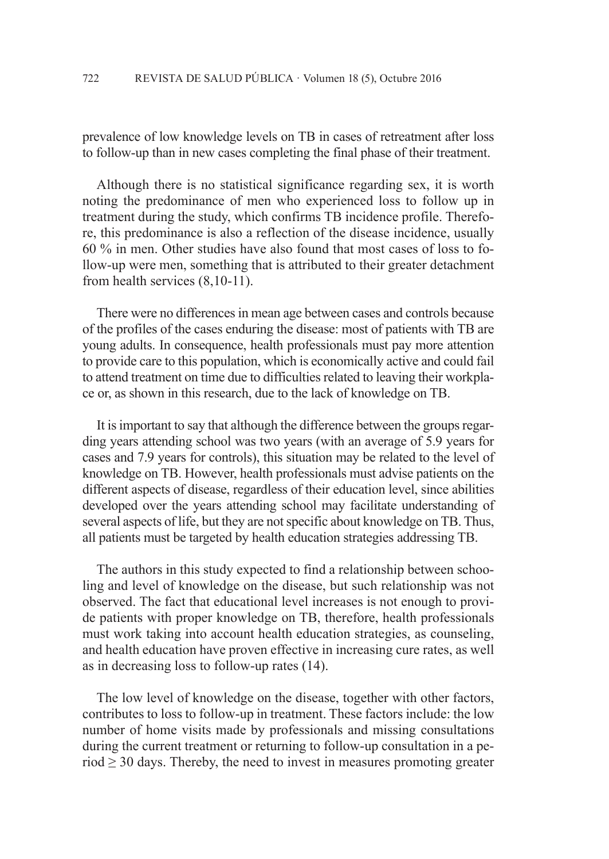prevalence of low knowledge levels on TB in cases of retreatment after loss to follow-up than in new cases completing the final phase of their treatment.

Although there is no statistical significance regarding sex, it is worth noting the predominance of men who experienced loss to follow up in treatment during the study, which confirms TB incidence profile. Therefore, this predominance is also a reflection of the disease incidence, usually 60 % in men. Other studies have also found that most cases of loss to follow-up were men, something that is attributed to their greater detachment from health services (8,10-11).

There were no differences in mean age between cases and controls because of the profiles of the cases enduring the disease: most of patients with TB are young adults. In consequence, health professionals must pay more attention to provide care to this population, which is economically active and could fail to attend treatment on time due to difficulties related to leaving their workplace or, as shown in this research, due to the lack of knowledge on TB.

It is important to say that although the difference between the groups regarding years attending school was two years (with an average of 5.9 years for cases and 7.9 years for controls), this situation may be related to the level of knowledge on TB. However, health professionals must advise patients on the different aspects of disease, regardless of their education level, since abilities developed over the years attending school may facilitate understanding of several aspects of life, but they are not specific about knowledge on TB. Thus, all patients must be targeted by health education strategies addressing TB.

The authors in this study expected to find a relationship between schooling and level of knowledge on the disease, but such relationship was not observed. The fact that educational level increases is not enough to provide patients with proper knowledge on TB, therefore, health professionals must work taking into account health education strategies, as counseling, and health education have proven effective in increasing cure rates, as well as in decreasing loss to follow-up rates (14).

The low level of knowledge on the disease, together with other factors, contributes to loss to follow-up in treatment. These factors include: the low number of home visits made by professionals and missing consultations during the current treatment or returning to follow-up consultation in a period  $\geq$  30 days. Thereby, the need to invest in measures promoting greater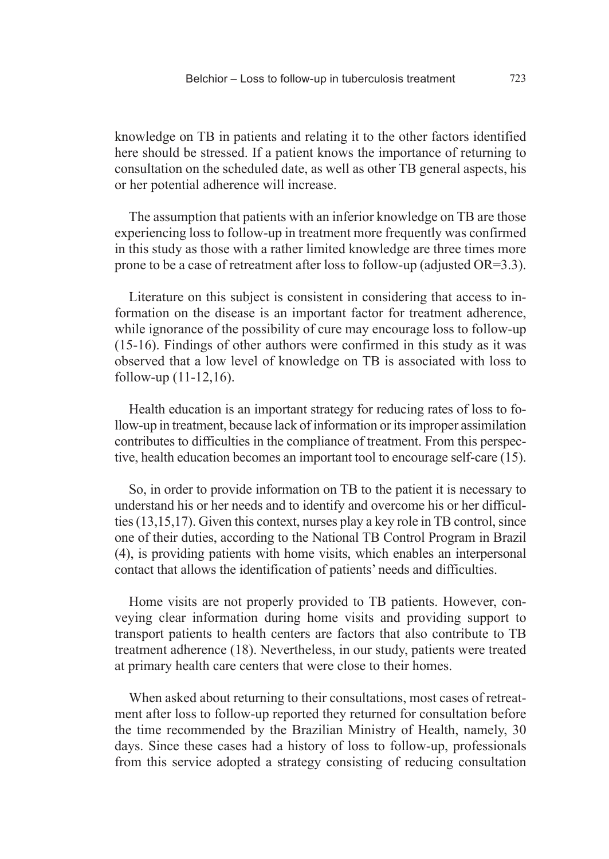knowledge on TB in patients and relating it to the other factors identified here should be stressed. If a patient knows the importance of returning to consultation on the scheduled date, as well as other TB general aspects, his or her potential adherence will increase.

The assumption that patients with an inferior knowledge on TB are those experiencing loss to follow-up in treatment more frequently was confirmed in this study as those with a rather limited knowledge are three times more prone to be a case of retreatment after loss to follow-up (adjusted OR=3.3).

Literature on this subject is consistent in considering that access to information on the disease is an important factor for treatment adherence, while ignorance of the possibility of cure may encourage loss to follow-up (15-16). Findings of other authors were confirmed in this study as it was observed that a low level of knowledge on TB is associated with loss to follow-up (11-12,16).

Health education is an important strategy for reducing rates of loss to follow-up in treatment, because lack of information or its improper assimilation contributes to difficulties in the compliance of treatment. From this perspective, health education becomes an important tool to encourage self-care (15).

So, in order to provide information on TB to the patient it is necessary to understand his or her needs and to identify and overcome his or her difficulties (13,15,17). Given this context, nurses play a key role in TB control, since one of their duties, according to the National TB Control Program in Brazil (4), is providing patients with home visits, which enables an interpersonal contact that allows the identification of patients' needs and difficulties.

Home visits are not properly provided to TB patients. However, conveying clear information during home visits and providing support to transport patients to health centers are factors that also contribute to TB treatment adherence (18). Nevertheless, in our study, patients were treated at primary health care centers that were close to their homes.

When asked about returning to their consultations, most cases of retreatment after loss to follow-up reported they returned for consultation before the time recommended by the Brazilian Ministry of Health, namely, 30 days. Since these cases had a history of loss to follow-up, professionals from this service adopted a strategy consisting of reducing consultation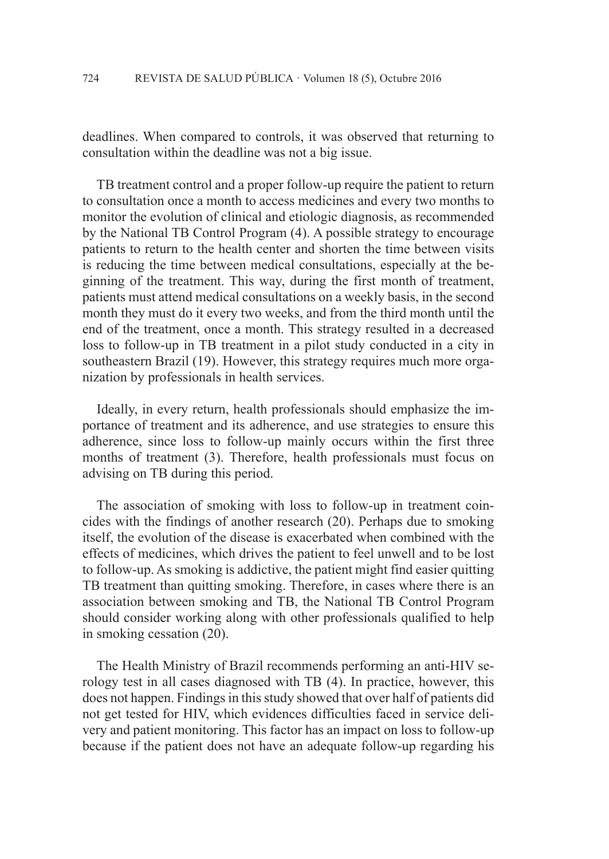deadlines. When compared to controls, it was observed that returning to consultation within the deadline was not a big issue.

TB treatment control and a proper follow-up require the patient to return to consultation once a month to access medicines and every two months to monitor the evolution of clinical and etiologic diagnosis, as recommended by the National TB Control Program (4). A possible strategy to encourage patients to return to the health center and shorten the time between visits is reducing the time between medical consultations, especially at the beginning of the treatment. This way, during the first month of treatment, patients must attend medical consultations on a weekly basis, in the second month they must do it every two weeks, and from the third month until the end of the treatment, once a month. This strategy resulted in a decreased loss to follow-up in TB treatment in a pilot study conducted in a city in southeastern Brazil (19). However, this strategy requires much more organization by professionals in health services.

Ideally, in every return, health professionals should emphasize the importance of treatment and its adherence, and use strategies to ensure this adherence, since loss to follow-up mainly occurs within the first three months of treatment (3). Therefore, health professionals must focus on advising on TB during this period.

The association of smoking with loss to follow-up in treatment coincides with the findings of another research (20). Perhaps due to smoking itself, the evolution of the disease is exacerbated when combined with the effects of medicines, which drives the patient to feel unwell and to be lost to follow-up. As smoking is addictive, the patient might find easier quitting TB treatment than quitting smoking. Therefore, in cases where there is an association between smoking and TB, the National TB Control Program should consider working along with other professionals qualified to help in smoking cessation (20).

The Health Ministry of Brazil recommends performing an anti-HIV serology test in all cases diagnosed with TB (4). In practice, however, this does not happen. Findings in this study showed that over half of patients did not get tested for HIV, which evidences difficulties faced in service delivery and patient monitoring. This factor has an impact on loss to follow-up because if the patient does not have an adequate follow-up regarding his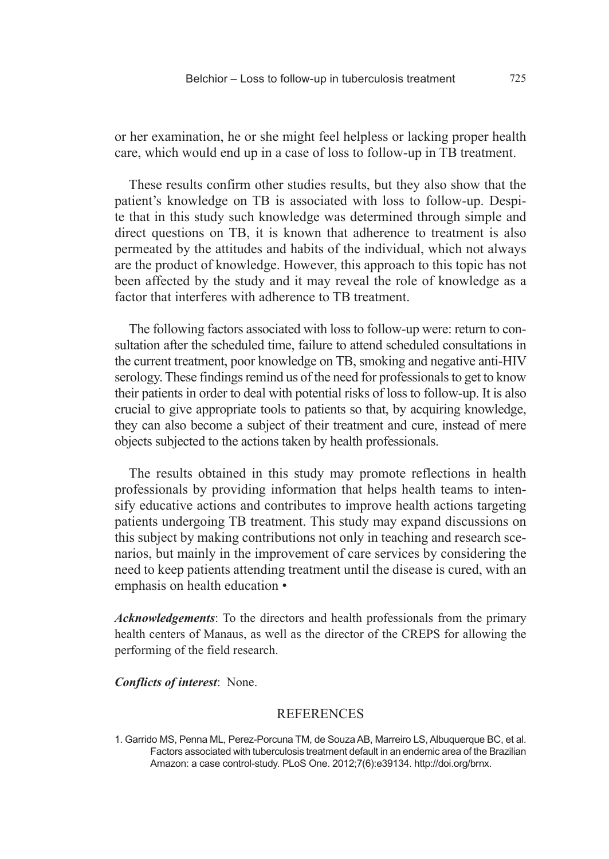or her examination, he or she might feel helpless or lacking proper health care, which would end up in a case of loss to follow-up in TB treatment.

These results confirm other studies results, but they also show that the patient's knowledge on TB is associated with loss to follow-up. Despite that in this study such knowledge was determined through simple and direct questions on TB, it is known that adherence to treatment is also permeated by the attitudes and habits of the individual, which not always are the product of knowledge. However, this approach to this topic has not been affected by the study and it may reveal the role of knowledge as a factor that interferes with adherence to TB treatment.

The following factors associated with loss to follow-up were: return to consultation after the scheduled time, failure to attend scheduled consultations in the current treatment, poor knowledge on TB, smoking and negative anti-HIV serology. These findings remind us of the need for professionals to get to know their patients in order to deal with potential risks of loss to follow-up. It is also crucial to give appropriate tools to patients so that, by acquiring knowledge, they can also become a subject of their treatment and cure, instead of mere objects subjected to the actions taken by health professionals.

The results obtained in this study may promote reflections in health professionals by providing information that helps health teams to intensify educative actions and contributes to improve health actions targeting patients undergoing TB treatment. This study may expand discussions on this subject by making contributions not only in teaching and research scenarios, but mainly in the improvement of care services by considering the need to keep patients attending treatment until the disease is cured, with an emphasis on health education •

*Acknowledgements*: To the directors and health professionals from the primary health centers of Manaus, as well as the director of the CREPS for allowing the performing of the field research.

*Conflicts of interest*: None.

### REFERENCES

1. Garrido MS, Penna ML, Perez-Porcuna TM, de Souza AB, Marreiro LS, Albuquerque BC, et al. Factors associated with tuberculosis treatment default in an endemic area of the Brazilian Amazon: a case control-study. PLoS One. 2012;7(6):e39134. http://doi.org/brnx.